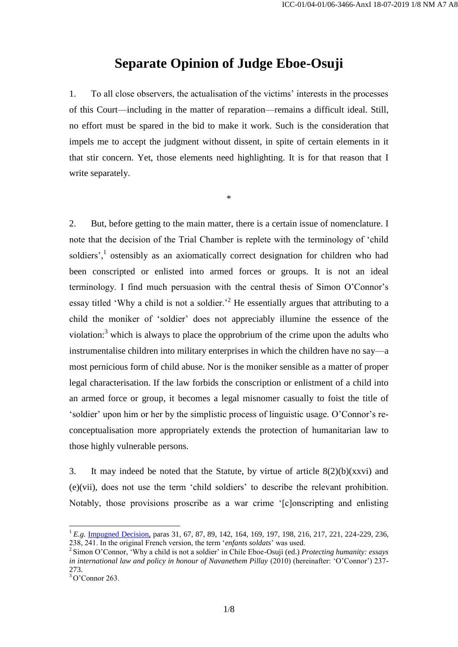## **Separate Opinion of Judge Eboe-Osuji**

1. To all close observers, the actualisation of the victims' interests in the processes of this Court—including in the matter of reparation—remains a difficult ideal. Still, no effort must be spared in the bid to make it work. Such is the consideration that impels me to accept the judgment without dissent, in spite of certain elements in it that stir concern. Yet, those elements need highlighting. It is for that reason that I write separately.

\*

2. But, before getting to the main matter, there is a certain issue of nomenclature. I note that the decision of the Trial Chamber is replete with the terminology of 'child soldiers',<sup>1</sup> ostensibly as an axiomatically correct designation for children who had been conscripted or enlisted into armed forces or groups. It is not an ideal terminology. I find much persuasion with the central thesis of Simon O'Connor's essay titled 'Why a child is not a soldier.'<sup>2</sup> He essentially argues that attributing to a child the moniker of 'soldier' does not appreciably illumine the essence of the violation: $3$  which is always to place the opprobrium of the crime upon the adults who instrumentalise children into military enterprises in which the children have no say—a most pernicious form of child abuse. Nor is the moniker sensible as a matter of proper legal characterisation. If the law forbids the conscription or enlistment of a child into an armed force or group, it becomes a legal misnomer casually to foist the title of 'soldier' upon him or her by the simplistic process of linguistic usage. O'Connor's reconceptualisation more appropriately extends the protection of humanitarian law to those highly vulnerable persons.

3. It may indeed be noted that the Statute, by virtue of article  $8(2)(b)(xxvi)$  and (e)(vii), does not use the term 'child soldiers' to describe the relevant prohibition. Notably, those provisions proscribe as a war crime '[c]onscripting and enlisting

 $\overline{a}$ 

<sup>&</sup>lt;sup>1</sup> *E.g.* [Impugned Decision,](http://www.legal-tools.org/doc/96a7c5/) paras 31, 67, 87, 89, 142, 164, 169, 197, 198, 216, 217, 221, 224-229, 236, 238, 241. In the original French version, the term '*enfants soldats*' was used.

<sup>2</sup> Simon O'Connor, 'Why a child is not a soldier' in Chile Eboe-Osuji (ed.) *Protecting humanity: essays in international law and policy in honour of Navanethem Pillay (2010) (hereinafter: 'O'Connor') 237-*273.

 $3$  O'Connor 263.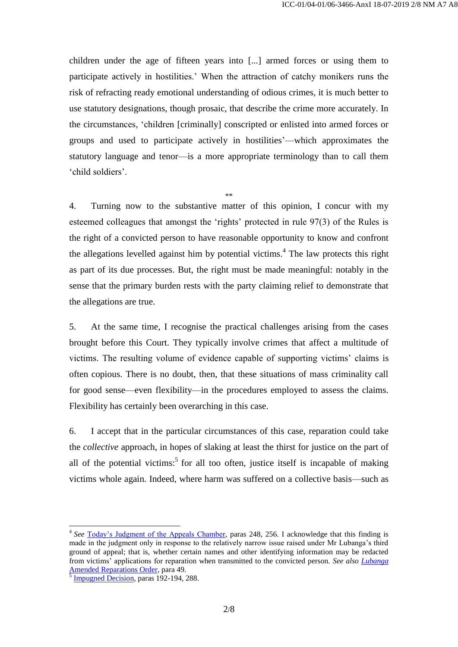children under the age of fifteen years into [...] armed forces or using them to participate actively in hostilities.' When the attraction of catchy monikers runs the risk of refracting ready emotional understanding of odious crimes, it is much better to use statutory designations, though prosaic, that describe the crime more accurately. In the circumstances, 'children [criminally] conscripted or enlisted into armed forces or groups and used to participate actively in hostilities'—which approximates the statutory language and tenor—is a more appropriate terminology than to call them 'child soldiers'.

\*\* 4. Turning now to the substantive matter of this opinion, I concur with my esteemed colleagues that amongst the 'rights' protected in rule 97(3) of the Rules is the right of a convicted person to have reasonable opportunity to know and confront the allegations levelled against him by potential victims.<sup>4</sup> The law protects this right as part of its due processes. But, the right must be made meaningful: notably in the sense that the primary burden rests with the party claiming relief to demonstrate that the allegations are true.

5. At the same time, I recognise the practical challenges arising from the cases brought before this Court. They typically involve crimes that affect a multitude of victims. The resulting volume of evidence capable of supporting victims' claims is often copious. There is no doubt, then, that these situations of mass criminality call for good sense—even flexibility—in the procedures employed to assess the claims. Flexibility has certainly been overarching in this case.

6. I accept that in the particular circumstances of this case, reparation could take the *collective* approach, in hopes of slaking at least the thirst for justice on the part of all of the potential victims:<sup>5</sup> for all too often, justice itself is incapable of making victims whole again. Indeed, where harm was suffered on a collective basis—such as

 $\overline{a}$ 

<sup>&</sup>lt;sup>4</sup> See [Today's Judgment of the Appeals Chamber,](http://www.legal-tools.org/doc/7ec94f/) paras 248, 256. I acknowledge that this finding is made in the judgment only in response to the relatively narrow issue raised under Mr Lubanga's third ground of appeal; that is, whether certain names and other identifying information may be redacted from victims' applications for reparation when transmitted to the convicted person. *See also [Lubanga](http://www.legal-tools.org/doc/df2804/)*  [Amended Reparations Order,](http://www.legal-tools.org/doc/df2804/) para 49.

[Impugned Decision,](http://www.legal-tools.org/doc/96a7c5/) paras 192-194, 288.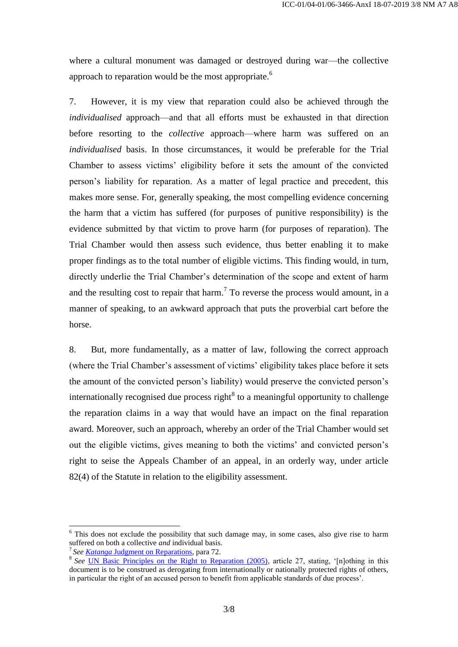where a cultural monument was damaged or destroyed during war—the collective approach to reparation would be the most appropriate.<sup>6</sup>

7. However, it is my view that reparation could also be achieved through the *individualised* approach—and that all efforts must be exhausted in that direction before resorting to the *collective* approach—where harm was suffered on an *individualised* basis. In those circumstances, it would be preferable for the Trial Chamber to assess victims' eligibility before it sets the amount of the convicted person's liability for reparation. As a matter of legal practice and precedent, this makes more sense. For, generally speaking, the most compelling evidence concerning the harm that a victim has suffered (for purposes of punitive responsibility) is the evidence submitted by that victim to prove harm (for purposes of reparation). The Trial Chamber would then assess such evidence, thus better enabling it to make proper findings as to the total number of eligible victims. This finding would, in turn, directly underlie the Trial Chamber's determination of the scope and extent of harm and the resulting cost to repair that harm.<sup>7</sup> To reverse the process would amount, in a manner of speaking, to an awkward approach that puts the proverbial cart before the horse.

8. But, more fundamentally, as a matter of law, following the correct approach (where the Trial Chamber's assessment of victims' eligibility takes place before it sets the amount of the convicted person's liability) would preserve the convicted person's internationally recognised due process right<sup>8</sup> to a meaningful opportunity to challenge the reparation claims in a way that would have an impact on the final reparation award. Moreover, such an approach, whereby an order of the Trial Chamber would set out the eligible victims, gives meaning to both the victims' and convicted person's right to seise the Appeals Chamber of an appeal, in an orderly way, under article 82(4) of the Statute in relation to the eligibility assessment.

 $\overline{a}$ 

 $6$  This does not exclude the possibility that such damage may, in some cases, also give rise to harm suffered on both a collective *and* individual basis.

<sup>7</sup> *See Katanga* [Judgment on Reparations,](http://www.legal-tools.org/doc/0a95b7/) para 72.

<sup>&</sup>lt;sup>8</sup> See <u>UN Basic Principles on the Right to Reparation (2005)</u>, article 27, stating, '[n]othing in this document is to be construed as derogating from internationally or nationally protected rights of others, in particular the right of an accused person to benefit from applicable standards of due process'.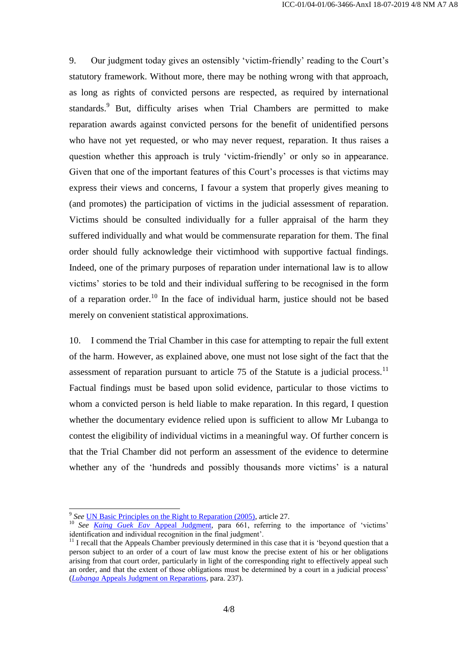9. Our judgment today gives an ostensibly 'victim-friendly' reading to the Court's statutory framework. Without more, there may be nothing wrong with that approach, as long as rights of convicted persons are respected, as required by international standards.<sup>9</sup> But, difficulty arises when Trial Chambers are permitted to make reparation awards against convicted persons for the benefit of unidentified persons who have not yet requested, or who may never request, reparation. It thus raises a question whether this approach is truly 'victim-friendly' or only so in appearance. Given that one of the important features of this Court's processes is that victims may express their views and concerns, I favour a system that properly gives meaning to (and promotes) the participation of victims in the judicial assessment of reparation. Victims should be consulted individually for a fuller appraisal of the harm they suffered individually and what would be commensurate reparation for them. The final order should fully acknowledge their victimhood with supportive factual findings. Indeed, one of the primary purposes of reparation under international law is to allow victims' stories to be told and their individual suffering to be recognised in the form of a reparation order.<sup>10</sup> In the face of individual harm, justice should not be based merely on convenient statistical approximations.

10. I commend the Trial Chamber in this case for attempting to repair the full extent of the harm. However, as explained above, one must not lose sight of the fact that the assessment of reparation pursuant to article 75 of the Statute is a judicial process.<sup>11</sup> Factual findings must be based upon solid evidence, particular to those victims to whom a convicted person is held liable to make reparation. In this regard, I question whether the documentary evidence relied upon is sufficient to allow Mr Lubanga to contest the eligibility of individual victims in a meaningful way. Of further concern is that the Trial Chamber did not perform an assessment of the evidence to determine whether any of the 'hundreds and possibly thousands more victims' is a natural

<sup>1</sup> <sup>9</sup> See <u>UN Basic Principles on the Right to Reparation (2005)</u>, article 27.

<sup>10</sup> *See <u>[Kaing Guek Eav](http://www.legal-tools.org/doc/681bad/)</u>* Appeal Judgment, para 661, referring to the importance of 'victims' identification and individual recognition in the final judgment'.

<sup>&</sup>lt;sup>11</sup> I recall that the Appeals Chamber previously determined in this case that it is 'beyond question that a person subject to an order of a court of law must know the precise extent of his or her obligations arising from that court order, particularly in light of the corresponding right to effectively appeal such an order, and that the extent of those obligations must be determined by a court in a judicial process' (*Lubanga* [Appeals Judgment on Reparations,](http://www.legal-tools.org/doc/c3fc9d/) para. 237).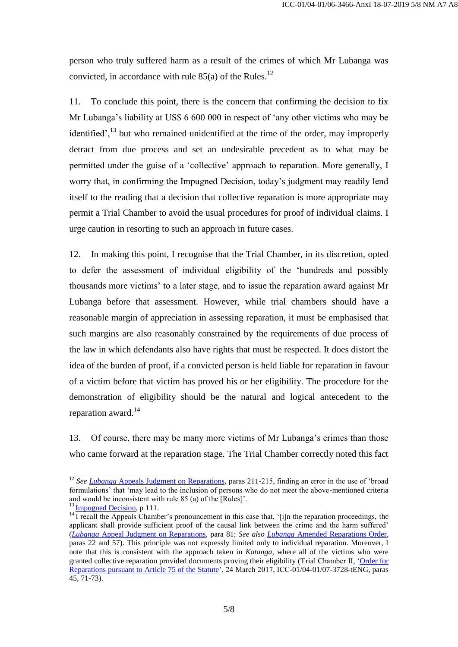person who truly suffered harm as a result of the crimes of which Mr Lubanga was convicted, in accordance with rule  $85(a)$  of the Rules.<sup>12</sup>

11. To conclude this point, there is the concern that confirming the decision to fix Mr Lubanga's liability at US\$ 6 600 000 in respect of 'any other victims who may be identified',  $^{13}$  but who remained unidentified at the time of the order, may improperly detract from due process and set an undesirable precedent as to what may be permitted under the guise of a 'collective' approach to reparation. More generally, I worry that, in confirming the Impugned Decision, today's judgment may readily lend itself to the reading that a decision that collective reparation is more appropriate may permit a Trial Chamber to avoid the usual procedures for proof of individual claims. I urge caution in resorting to such an approach in future cases.

12. In making this point, I recognise that the Trial Chamber, in its discretion, opted to defer the assessment of individual eligibility of the 'hundreds and possibly thousands more victims' to a later stage, and to issue the reparation award against Mr Lubanga before that assessment. However, while trial chambers should have a reasonable margin of appreciation in assessing reparation, it must be emphasised that such margins are also reasonably constrained by the requirements of due process of the law in which defendants also have rights that must be respected. It does distort the idea of the burden of proof, if a convicted person is held liable for reparation in favour of a victim before that victim has proved his or her eligibility. The procedure for the demonstration of eligibility should be the natural and logical antecedent to the reparation award.<sup>14</sup>

13. Of course, there may be many more victims of Mr Lubanga's crimes than those who came forward at the reparation stage. The Trial Chamber correctly noted this fact

1

<sup>&</sup>lt;sup>12</sup> See Lubanga [Appeals Judgment on Reparations,](http://www.legal-tools.org/doc/c3fc9d/) paras 211-215, finding an error in the use of 'broad formulations' that 'may lead to the inclusion of persons who do not meet the above-mentioned criteria and would be inconsistent with rule 85 (a) of the [Rules]'.

 $13 \underline{\text{Impugned Decision}}$ , p 111.

<sup>&</sup>lt;sup>14</sup> I recall the Appeals Chamber's pronouncement in this case that, '[i]n the reparation proceedings, the applicant shall provide sufficient proof of the causal link between the crime and the harm suffered' (*Lubanga* [Appeal Judgment on Reparations,](http://www.legal-tools.org/doc/c3fc9d/) para 81; *See also Lubanga* [Amended Reparations Order,](http://www.legal-tools.org/doc/df2804/) paras 22 and 57). This principle was not expressly limited only to individual reparation. Moreover, I note that this is consistent with the approach taken in *Katanga*, where all of the victims who were granted collective reparation provided documents proving their eligibility (Trial Chamber II, ['Order for](http://www.legal-tools.org/doc/63d36d/)  [Reparations pursuant to Article 75 of the Statute'](http://www.legal-tools.org/doc/63d36d/), 24 March 2017, ICC-01/04-01/07-3728-tENG, paras 45, 71-73).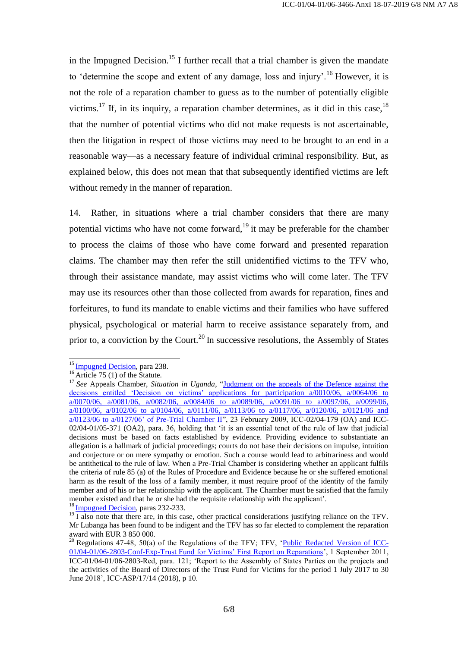in the Impugned Decision.<sup>15</sup> I further recall that a trial chamber is given the mandate to 'determine the scope and extent of any damage, loss and injury'.<sup>16</sup> However, it is not the role of a reparation chamber to guess as to the number of potentially eligible victims.<sup>17</sup> If, in its inquiry, a reparation chamber determines, as it did in this case,  $18$ that the number of potential victims who did not make requests is not ascertainable, then the litigation in respect of those victims may need to be brought to an end in a reasonable way—as a necessary feature of individual criminal responsibility. But, as explained below, this does not mean that that subsequently identified victims are left without remedy in the manner of reparation.

14. Rather, in situations where a trial chamber considers that there are many potential victims who have not come forward,<sup>19</sup> it may be preferable for the chamber to process the claims of those who have come forward and presented reparation claims. The chamber may then refer the still unidentified victims to the TFV who, through their assistance mandate, may assist victims who will come later. The TFV may use its resources other than those collected from awards for reparation, fines and forfeitures, to fund its mandate to enable victims and their families who have suffered physical, psychological or material harm to receive assistance separately from, and prior to, a conviction by the Court.<sup>20</sup> In successive resolutions, the Assembly of States

-

<sup>&</sup>lt;sup>15</sup> [Impugned Decision,](http://www.legal-tools.org/doc/96a7c5/) para 238.

 $16 \overline{\text{Article } 75}$  (1) of the Statute.

<sup>&</sup>lt;sup>17</sup> See Appeals Chamber, *Situation in Uganda*, "Judgment on the appeals of the Defence against the decisions entitled 'Decision on victims' applications for participation a/0010/06, a/0064/06 to [a/0070/06, a/0081/06, a/0082/06, a/0084/06 to a/0089/06, a/0091/06 to a/0097/06, a/0099/06,](http://www.legal-tools.org/doc/5808c7/)   $a/0100/06$ ,  $a/0102/06$  to  $a/0104/06$ ,  $a/0111/06$ ,  $a/0113/06$  to  $a/0117/06$ ,  $a/0120/06$ ,  $a/0121/06$  and  $a/0123/06$  to  $a/0127/06$ ' of Pre-Trial Chamber II", 23 February 2009, ICC-02/04-179 (OA) and [ICC-](http://www.legal-tools.org/doc/e287c9/)[02/04-01/05-371 \(OA2\),](http://www.legal-tools.org/doc/e287c9/) para. 36, holding that 'it is an essential tenet of the rule of law that judicial decisions must be based on facts established by evidence. Providing evidence to substantiate an allegation is a hallmark of judicial proceedings; courts do not base their decisions on impulse, intuition and conjecture or on mere sympathy or emotion. Such a course would lead to arbitrariness and would be antithetical to the rule of law. When a Pre-Trial Chamber is considering whether an applicant fulfils the criteria of rule 85 (a) of the Rules of Procedure and Evidence because he or she suffered emotional harm as the result of the loss of a family member, it must require proof of the identity of the family member and of his or her relationship with the applicant. The Chamber must be satisfied that the family member existed and that he or she had the requisite relationship with the applicant'. <sup>18</sup> [Impugned Decision,](http://www.legal-tools.org/doc/96a7c5/) paras 232-233.

<sup>&</sup>lt;sup>19</sup> I also note that there are, in this case, other practical considerations justifying reliance on the TFV. Mr Lubanga has been found to be indigent and the TFV has so far elected to complement the reparation award with EUR 3 850 000.

<sup>&</sup>lt;sup>20</sup> Regulations 47-48, 50(a) of the Regulations of the TFV; TFV, ['Public Redacted Version of ICC-](https://www.legal-tools.org/en/doc/4f144e/)[01/04-01/06-2803-Conf-Exp-Trust Fund for Victims' First Report on Reparations'](https://www.legal-tools.org/en/doc/4f144e/), 1 September 2011, ICC-01/04-01/06-2803-Red, para. 121; 'Report to the Assembly of States Parties on the projects and the activities of the Board of Directors of the Trust Fund for Victims for the period 1 July 2017 to 30 June 2018', ICC-ASP/17/14 (2018), p 10.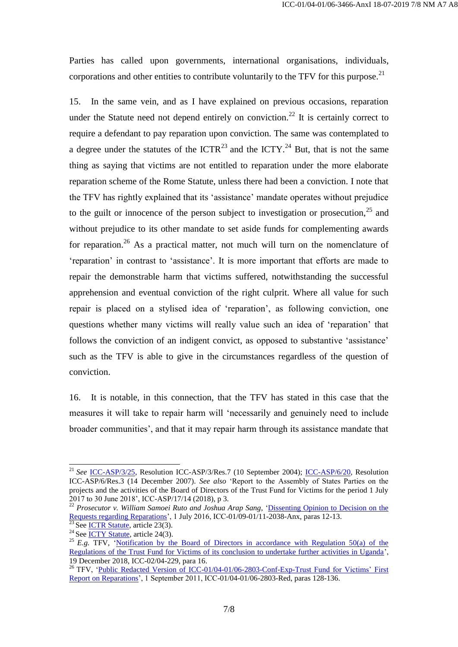Parties has called upon governments, international organisations, individuals, corporations and other entities to contribute voluntarily to the TFV for this purpose.<sup>21</sup>

15. In the same vein, and as I have explained on previous occasions, reparation under the Statute need not depend entirely on conviction.<sup>22</sup> It is certainly correct to require a defendant to pay reparation upon conviction. The same was contemplated to a degree under the statutes of the ICTR<sup>23</sup> and the ICTY.<sup>24</sup> But, that is not the same thing as saying that victims are not entitled to reparation under the more elaborate reparation scheme of the Rome Statute, unless there had been a conviction. I note that the TFV has rightly explained that its 'assistance' mandate operates without prejudice to the guilt or innocence of the person subject to investigation or prosecution.<sup>25</sup> and without prejudice to its other mandate to set aside funds for complementing awards for reparation.<sup>26</sup> As a practical matter, not much will turn on the nomenclature of 'reparation' in contrast to 'assistance'. It is more important that efforts are made to repair the demonstrable harm that victims suffered, notwithstanding the successful apprehension and eventual conviction of the right culprit. Where all value for such repair is placed on a stylised idea of 'reparation', as following conviction, one questions whether many victims will really value such an idea of 'reparation' that follows the conviction of an indigent convict, as opposed to substantive 'assistance' such as the TFV is able to give in the circumstances regardless of the question of conviction.

16. It is notable, in this connection, that the TFV has stated in this case that the measures it will take to repair harm will 'necessarily and genuinely need to include broader communities', and that it may repair harm through its assistance mandate that

-

<sup>21</sup> *See* [ICC-ASP/3/25,](http://www.legal-tools.org/en/doc/832c0b/) Resolution ICC-ASP/3/Res.7 (10 September 2004); [ICC-ASP/6/20,](http://www.legal-tools.org/doc/480f82) Resolution ICC-ASP/6/Res.3 (14 December 2007). *See also* 'Report to the Assembly of States Parties on the projects and the activities of the Board of Directors of the Trust Fund for Victims for the period 1 July 2017 to 30 June 2018', ICC-ASP/17/14 (2018), p 3.

<sup>22</sup> *Prosecutor v. William Samoei Ruto and Joshua Arap Sang*, ['Dissenting Opinion to Decision on the](http://www.legal-tools.org/doc/c9e848/)  [Requests regarding Reparations'](http://www.legal-tools.org/doc/c9e848/), 1 July 2016, ICC-01/09-01/11-2038-Anx, paras 12-13.

See [ICTR Statute,](http://www.legal-tools.org/doc/8732d6/) article 23(3).

<sup>&</sup>lt;sup>24</sup> See [ICTY Statute,](http://www.legal-tools.org/doc/b4f63b/) article 24(3).

<sup>&</sup>lt;sup>25</sup> *E.g.* **TFV, 'Notification by the Board of Directors in accordance with Regulation 50(a) of the** [Regulations of the Trust Fund for Victims of its conclusion to undertake further activities in Uganda'](http://www.legal-tools.org/doc/a0134d/), 19 December 2018, ICC-02/04-229, para 16.

<sup>&</sup>lt;sup>26</sup> TFV, 'Public Redacted Version of ICC-01/04-01/06-2803-Conf-Exp-Trust Fund for Victims' First [Report on Reparations'](http://www.legal-tools.org/doc/4f144e/), 1 September 2011, ICC-01/04-01/06-2803-Red, paras 128-136.